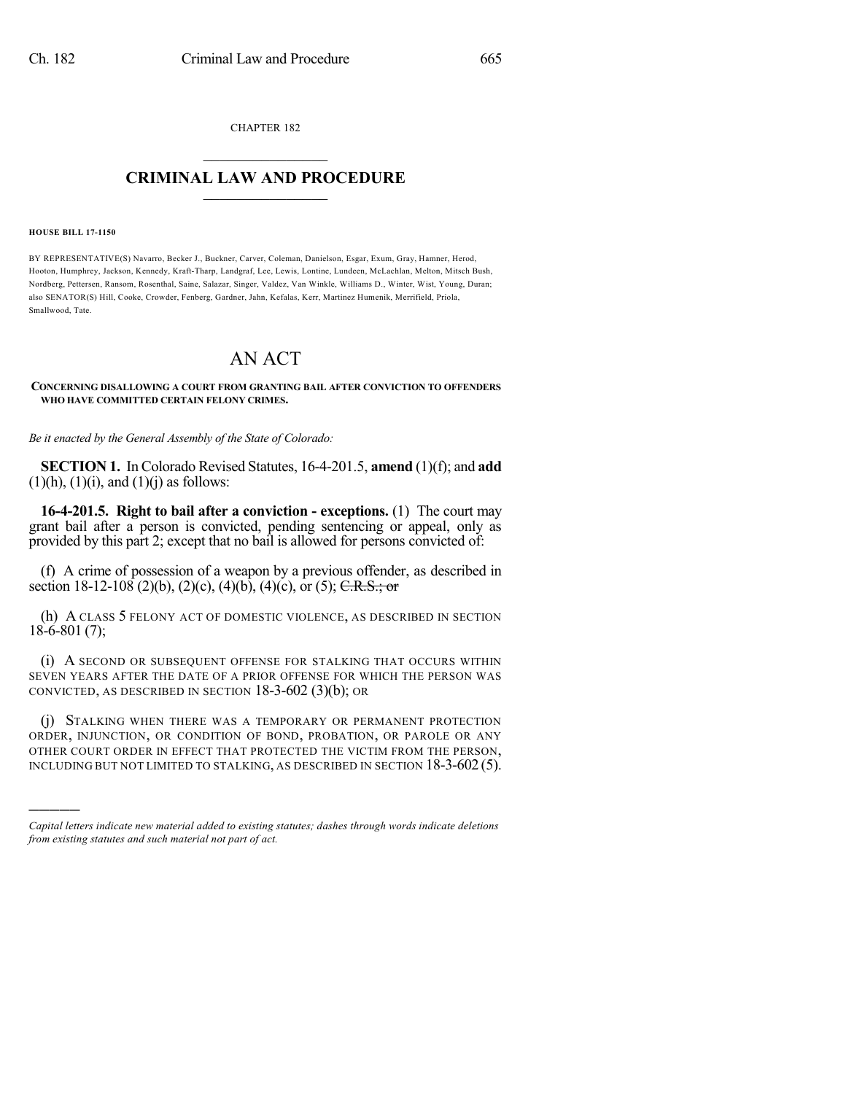CHAPTER 182  $\overline{\phantom{a}}$  . The set of the set of the set of the set of the set of the set of the set of the set of the set of the set of the set of the set of the set of the set of the set of the set of the set of the set of the set o

## **CRIMINAL LAW AND PROCEDURE**  $\frac{1}{2}$  ,  $\frac{1}{2}$  ,  $\frac{1}{2}$  ,  $\frac{1}{2}$  ,  $\frac{1}{2}$  ,  $\frac{1}{2}$  ,  $\frac{1}{2}$

## **HOUSE BILL 17-1150**

)))))

BY REPRESENTATIVE(S) Navarro, Becker J., Buckner, Carver, Coleman, Danielson, Esgar, Exum, Gray, Hamner, Herod, Hooton, Humphrey, Jackson, Kennedy, Kraft-Tharp, Landgraf, Lee, Lewis, Lontine, Lundeen, McLachlan, Melton, Mitsch Bush, Nordberg, Pettersen, Ransom, Rosenthal, Saine, Salazar, Singer, Valdez, Van Winkle, Williams D., Winter, Wist, Young, Duran; also SENATOR(S) Hill, Cooke, Crowder, Fenberg, Gardner, Jahn, Kefalas, Kerr, Martinez Humenik, Merrifield, Priola, Smallwood, Tate.

## AN ACT

## **CONCERNING DISALLOWING A COURT FROM GRANTING BAIL AFTER CONVICTION TO OFFENDERS WHO HAVE COMMITTED CERTAIN FELONY CRIMES.**

*Be it enacted by the General Assembly of the State of Colorado:*

**SECTION 1.** In Colorado Revised Statutes, 16-4-201.5, **amend** (1)(f); and **add**  $(1)(h)$ ,  $(1)(i)$ , and  $(1)(j)$  as follows:

**16-4-201.5. Right to bail after a conviction - exceptions.** (1) The court may grant bail after a person is convicted, pending sentencing or appeal, only as provided by this part 2; except that no bail is allowed for persons convicted of:

(f) A crime of possession of a weapon by a previous offender, as described in section 18-12-108 (2)(b), (2)(c), (4)(b), (4)(c), or (5); C.R.S.; or

(h) A CLASS 5 FELONY ACT OF DOMESTIC VIOLENCE, AS DESCRIBED IN SECTION 18-6-801 (7);

(i) A SECOND OR SUBSEQUENT OFFENSE FOR STALKING THAT OCCURS WITHIN SEVEN YEARS AFTER THE DATE OF A PRIOR OFFENSE FOR WHICH THE PERSON WAS CONVICTED, AS DESCRIBED IN SECTION 18-3-602 (3)(b); OR

(j) STALKING WHEN THERE WAS A TEMPORARY OR PERMANENT PROTECTION ORDER, INJUNCTION, OR CONDITION OF BOND, PROBATION, OR PAROLE OR ANY OTHER COURT ORDER IN EFFECT THAT PROTECTED THE VICTIM FROM THE PERSON, INCLUDING BUT NOT LIMITED TO STALKING, AS DESCRIBED IN SECTION 18-3-602 (5).

*Capital letters indicate new material added to existing statutes; dashes through words indicate deletions from existing statutes and such material not part of act.*